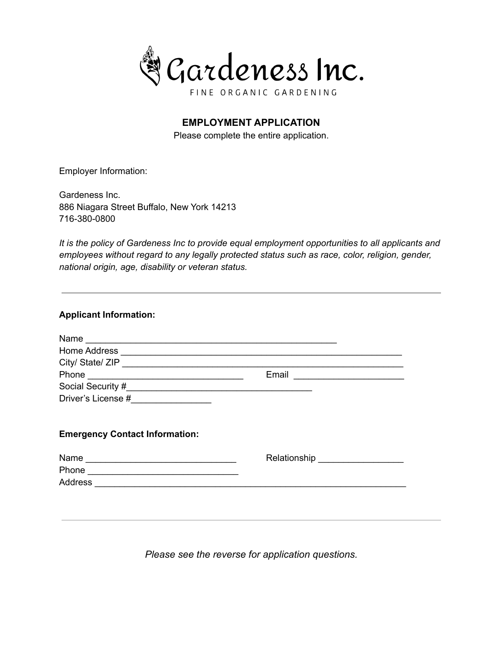

# **EMPLOYMENT APPLICATION**

Please complete the entire application.

Employer Information:

Gardeness Inc. 886 Niagara Street Buffalo, New York 14213 716-380-0800

*It is the policy of Gardeness Inc to provide equal employment opportunities to all applicants and employees without regard to any legally protected status such as race, color, religion, gender, national origin, age, disability or veteran status.*

## **Applicant Information:**

| Name               |       |  |
|--------------------|-------|--|
| Home Address       |       |  |
| City/ State/ ZIP   |       |  |
| Phone              | Email |  |
| Social Security #  |       |  |
| Driver's License # |       |  |

#### **Emergency Contact Information:**

| Name    | Relationship |
|---------|--------------|
| Phone   |              |
| Address |              |

*Please see the reverse for application questions.*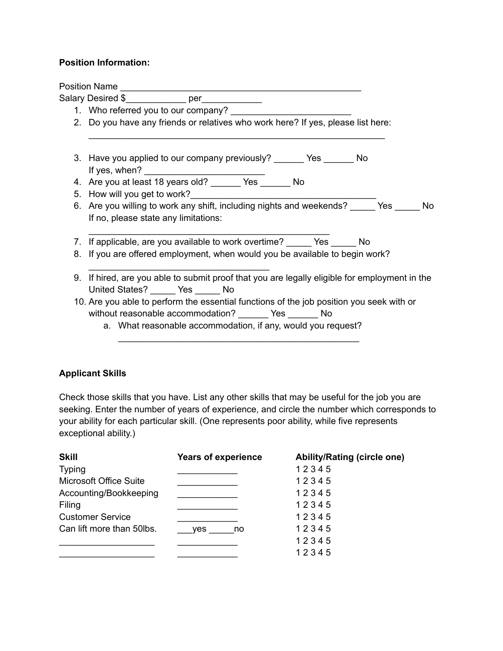## **Position Information:**

Position Name Salary Desired \$\_\_\_\_\_\_\_\_\_\_\_\_\_ per\_\_\_\_\_\_\_\_\_\_\_\_ 1. Who referred you to our company? 2. Do you have any friends or relatives who work here? If yes, please list here: \_\_\_\_\_\_\_\_\_\_\_\_\_\_\_\_\_\_\_\_\_\_\_\_\_\_\_\_\_\_\_\_\_\_\_\_\_\_\_\_\_\_\_\_\_\_\_\_\_\_\_\_\_\_\_\_\_\_\_ 3. Have you applied to our company previously? \_\_\_\_\_\_ Yes \_\_\_\_\_\_ No If yes, when?  $\blacksquare$ 4. Are you at least 18 years old? The Yes No 5. How will you get to work? 6. Are you willing to work any shift, including nights and weekends? The Yes The No If no, please state any limitations:  $\mathcal{L}_\mathcal{L} = \{ \mathcal{L}_\mathcal{L} = \{ \mathcal{L}_\mathcal{L} = \{ \mathcal{L}_\mathcal{L} = \{ \mathcal{L}_\mathcal{L} = \{ \mathcal{L}_\mathcal{L} = \{ \mathcal{L}_\mathcal{L} = \{ \mathcal{L}_\mathcal{L} = \{ \mathcal{L}_\mathcal{L} = \{ \mathcal{L}_\mathcal{L} = \{ \mathcal{L}_\mathcal{L} = \{ \mathcal{L}_\mathcal{L} = \{ \mathcal{L}_\mathcal{L} = \{ \mathcal{L}_\mathcal{L} = \{ \mathcal{L}_\mathcal{$ 7. If applicable, are you available to work overtime? Yes No 8. If you are offered employment, when would you be available to begin work?  $\overline{\phantom{a}}$  , and the set of the set of the set of the set of the set of the set of the set of the set of the set of the set of the set of the set of the set of the set of the set of the set of the set of the set of the s 9. If hired, are you able to submit proof that you are legally eligible for employment in the United States? Yes No 10. Are you able to perform the essential functions of the job position you seek with or without reasonable accommodation? \_\_\_\_\_\_ Yes \_\_\_\_\_\_ No a. What reasonable accommodation, if any, would you request?  $\mathcal{L}_\mathcal{L} = \{ \mathcal{L}_\mathcal{L} = \{ \mathcal{L}_\mathcal{L} = \{ \mathcal{L}_\mathcal{L} = \{ \mathcal{L}_\mathcal{L} = \{ \mathcal{L}_\mathcal{L} = \{ \mathcal{L}_\mathcal{L} = \{ \mathcal{L}_\mathcal{L} = \{ \mathcal{L}_\mathcal{L} = \{ \mathcal{L}_\mathcal{L} = \{ \mathcal{L}_\mathcal{L} = \{ \mathcal{L}_\mathcal{L} = \{ \mathcal{L}_\mathcal{L} = \{ \mathcal{L}_\mathcal{L} = \{ \mathcal{L}_\mathcal{$ 

# **Applicant Skills**

Check those skills that you have. List any other skills that may be useful for the job you are seeking. Enter the number of years of experience, and circle the number which corresponds to your ability for each particular skill. (One represents poor ability, while five represents exceptional ability.)

| <b>Skill</b>                  | <b>Years of experience</b> | Ability/Rating (circle one) |
|-------------------------------|----------------------------|-----------------------------|
| <b>Typing</b>                 |                            | 12345                       |
| <b>Microsoft Office Suite</b> |                            | 12345                       |
| Accounting/Bookkeeping        |                            | 12345                       |
| Filing                        |                            | 12345                       |
| <b>Customer Service</b>       |                            | 12345                       |
| Can lift more than 50lbs.     | no<br>ves                  | 12345                       |
|                               |                            | 12345                       |
|                               |                            | 12345                       |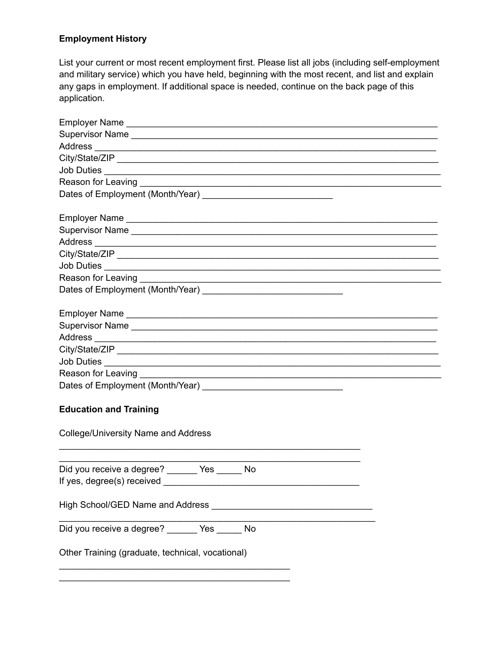# **Employment History**

List your current or most recent employment first. Please list all jobs (including self-employment and military service) which you have held, beginning with the most recent, and list and explain any gaps in employment. If additional space is needed, continue on the back page of this application.

| Employer Name                                    |  |  |  |  |
|--------------------------------------------------|--|--|--|--|
|                                                  |  |  |  |  |
|                                                  |  |  |  |  |
|                                                  |  |  |  |  |
|                                                  |  |  |  |  |
|                                                  |  |  |  |  |
|                                                  |  |  |  |  |
|                                                  |  |  |  |  |
| <b>Education and Training</b>                    |  |  |  |  |
|                                                  |  |  |  |  |
| <b>College/University Name and Address</b>       |  |  |  |  |
|                                                  |  |  |  |  |
|                                                  |  |  |  |  |
| Did you receive a degree? ______ Yes _____ No    |  |  |  |  |
|                                                  |  |  |  |  |
|                                                  |  |  |  |  |
|                                                  |  |  |  |  |
|                                                  |  |  |  |  |
| Did you receive a degree? ______ Yes _____ No    |  |  |  |  |
|                                                  |  |  |  |  |
| Other Training (graduate, technical, vocational) |  |  |  |  |
|                                                  |  |  |  |  |
|                                                  |  |  |  |  |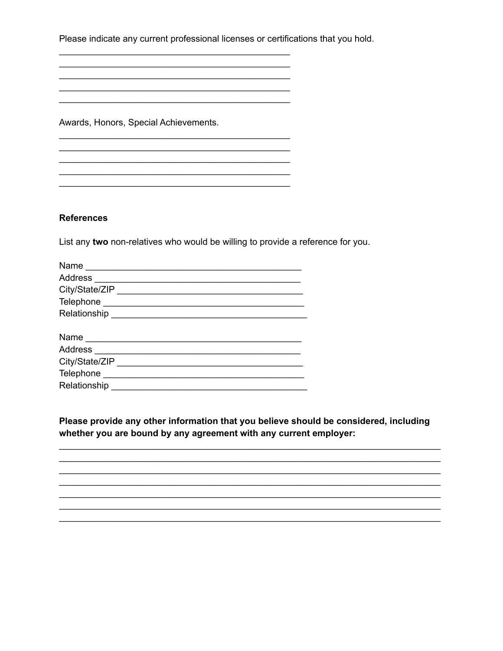Please indicate any current professional licenses or certifications that you hold.

Awards, Honors, Special Achievements.

#### **References**

List any two non-relatives who would be willing to provide a reference for you.

| Name                                                                                                                                                                                                                             |
|----------------------------------------------------------------------------------------------------------------------------------------------------------------------------------------------------------------------------------|
|                                                                                                                                                                                                                                  |
|                                                                                                                                                                                                                                  |
|                                                                                                                                                                                                                                  |
| Relationship<br>expressions and the set of the set of the set of the set of the set of the set of the set of the set of the set of the set of the set of the set of the set of the set of the set of the set of the set of the s |
|                                                                                                                                                                                                                                  |
| Name                                                                                                                                                                                                                             |
| Address Address Address Address Address Address Address Address Address Address Address Address Address Address A                                                                                                                |
|                                                                                                                                                                                                                                  |
| Telephone <b>The Community of Telephone</b>                                                                                                                                                                                      |
| Relationship                                                                                                                                                                                                                     |

Please provide any other information that you believe should be considered, including whether you are bound by any agreement with any current employer: